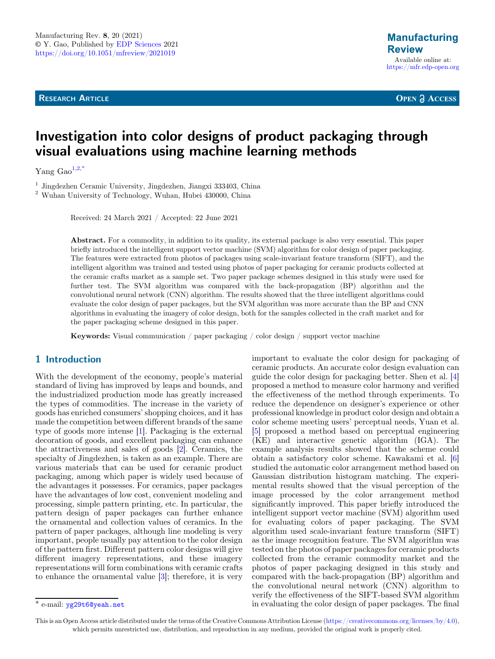**RESEARCH ARTICLE** 

**OPEN A ACCESS** 

# Investigation into color designs of product packaging through visual evaluations using machine learning methods

Yang  $Gao^{1,2,*}$ 

 $^{\rm 1}$  Jingdezhen Ceramic University, Jingdezhen, Jiangxi 333403, China  $^{\rm 2}$  Wuhan University of Technology, Wuhan, Hubei 430000, China

Received: 24 March 2021 / Accepted: 22 June 2021

Abstract. For a commodity, in addition to its quality, its external package is also very essential. This paper briefly introduced the intelligent support vector machine (SVM) algorithm for color design of paper packaging. The features were extracted from photos of packages using scale-invariant feature transform (SIFT), and the intelligent algorithm was trained and tested using photos of paper packaging for ceramic products collected at the ceramic crafts market as a sample set. Two paper package schemes designed in this study were used for further test. The SVM algorithm was compared with the back-propagation (BP) algorithm and the convolutional neural network (CNN) algorithm. The results showed that the three intelligent algorithms could evaluate the color design of paper packages, but the SVM algorithm was more accurate than the BP and CNN algorithms in evaluating the imagery of color design, both for the samples collected in the craft market and for the paper packaging scheme designed in this paper.

**Keywords:** Visual communication / paper packaging / color design / support vector machine

# 1 Introduction

With the development of the economy, people's material standard of living has improved by leaps and bounds, and the industrialized production mode has greatly increased the types of commodities. The increase in the variety of goods has enriched consumers' shopping choices, and it has made the competition between different brands of the same type of goods more intense [[1\]](#page-5-0). Packaging is the external decoration of goods, and excellent packaging can enhance the attractiveness and sales of goods [[2\]](#page-5-0). Ceramics, the specialty of Jingdezhen, is taken as an example. There are various materials that can be used for ceramic product packaging, among which paper is widely used because of the advantages it possesses. For ceramics, paper packages have the advantages of low cost, convenient modeling and processing, simple pattern printing, etc. In particular, the pattern design of paper packages can further enhance the ornamental and collection values of ceramics. In the pattern of paper packages, although line modeling is very important, people usually pay attention to the color design of the pattern first. Different pattern color designs will give different imagery representations, and these imagery representations will form combinations with ceramic crafts to enhance the ornamental value [\[3](#page-6-0)]; therefore, it is very

important to evaluate the color design for packaging of ceramic products. An accurate color design evaluation can guide the color design for packaging better. Shen et al. [[4\]](#page-6-0) proposed a method to measure color harmony and verified the effectiveness of the method through experiments. To reduce the dependence on designer's experience or other professional knowledge in product color design and obtain a color scheme meeting users' perceptual needs, Yuan et al. [\[5](#page-6-0)] proposed a method based on perceptual engineering (KE) and interactive genetic algorithm (IGA). The example analysis results showed that the scheme could obtain a satisfactory color scheme. Kawakami et al. [[6\]](#page-6-0) studied the automatic color arrangement method based on Gaussian distribution histogram matching. The experimental results showed that the visual perception of the image processed by the color arrangement method significantly improved. This paper briefly introduced the intelligent support vector machine (SVM) algorithm used for evaluating colors of paper packaging. The SVM algorithm used scale-invariant feature transform (SIFT) as the image recognition feature. The SVM algorithm was tested on the photos of paper packages for ceramic products collected from the ceramic commodity market and the photos of paper packaging designed in this study and compared with the back-propagation (BP) algorithm and the convolutional neural network (CNN) algorithm to verify the effectiveness of the SIFT-based SVM algorithm \* e-mail: [yg29t6@yeah.net](mailto:yg29t6@yeah.net) in evaluating the color design of paper packages. The final

This is an Open Access article distributed under the terms of the Creative Commons Attribution License [\(https://creativecommons.org/licenses/by/4.0\)](https://creativecommons.org/licenses/by/4.0), which permits unrestricted use, distribution, and reproduction in any medium, provided the original work is properly cited.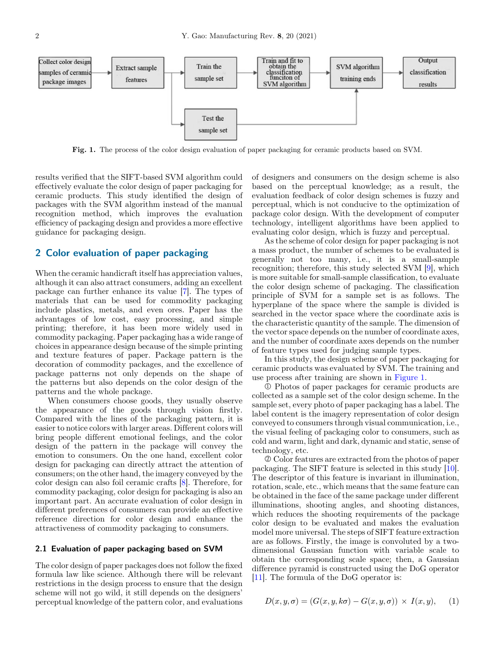

Fig. 1. The process of the color design evaluation of paper packaging for ceramic products based on SVM.

results verified that the SIFT-based SVM algorithm could effectively evaluate the color design of paper packaging for ceramic products. This study identified the design of packages with the SVM algorithm instead of the manual recognition method, which improves the evaluation efficiency of packaging design and provides a more effective guidance for packaging design.

# 2 Color evaluation of paper packaging

When the ceramic handicraft itself has appreciation values, although it can also attract consumers, adding an excellent package can further enhance its value [[7\]](#page-6-0). The types of materials that can be used for commodity packaging include plastics, metals, and even ores. Paper has the advantages of low cost, easy processing, and simple printing; therefore, it has been more widely used in commodity packaging. Paper packaging has a wide range of choices in appearance design because of the simple printing and texture features of paper. Package pattern is the decoration of commodity packages, and the excellence of package patterns not only depends on the shape of the patterns but also depends on the color design of the patterns and the whole package.

When consumers choose goods, they usually observe the appearance of the goods through vision firstly. Compared with the lines of the packaging pattern, it is easier to notice colors with larger areas. Different colors will bring people different emotional feelings, and the color design of the pattern in the package will convey the emotion to consumers. On the one hand, excellent color design for packaging can directly attract the attention of consumers; on the other hand, the imagery conveyed by the color design can also foil ceramic crafts [\[8](#page-6-0)]. Therefore, for commodity packaging, color design for packaging is also an important part. An accurate evaluation of color design in different preferences of consumers can provide an effective reference direction for color design and enhance the attractiveness of commodity packaging to consumers.

#### 2.1 Evaluation of paper packaging based on SVM

The color design of paper packages does not follow the fixed formula law like science. Although there will be relevant restrictions in the design process to ensure that the design scheme will not go wild, it still depends on the designers' perceptual knowledge of the pattern color, and evaluations of designers and consumers on the design scheme is also based on the perceptual knowledge; as a result, the evaluation feedback of color design schemes is fuzzy and perceptual, which is not conducive to the optimization of package color design. With the development of computer technology, intelligent algorithms have been applied to evaluating color design, which is fuzzy and perceptual.

As the scheme of color design for paper packaging is not a mass product, the number of schemes to be evaluated is generally not too many, i.e., it is a small-sample recognition; therefore, this study selected SVM [[9\]](#page-6-0), which is more suitable for small-sample classification, to evaluate the color design scheme of packaging. The classification principle of SVM for a sample set is as follows. The hyperplane of the space where the sample is divided is searched in the vector space where the coordinate axis is the characteristic quantity of the sample. The dimension of the vector space depends on the number of coordinate axes, and the number of coordinate axes depends on the number of feature types used for judging sample types.

In this study, the design scheme of paper packaging for ceramic products was evaluated by SVM. The training and use process after training are shown in Figure 1.

○<sup>1</sup> Photos of paper packages for ceramic products are collected as a sample set of the color design scheme. In the sample set, every photo of paper packaging has a label. The label content is the imagery representation of color design conveyed to consumers through visual communication, i.e., the visual feeling of packaging color to consumers, such as cold and warm, light and dark, dynamic and static, sense of technology, etc.

○<sup>2</sup> Color features are extracted from the photos of paper packaging. The SIFT feature is selected in this study [\[10](#page-6-0)]. The descriptor of this feature is invariant in illumination, rotation, scale, etc., which means that the same feature can be obtained in the face of the same package under different illuminations, shooting angles, and shooting distances, which reduces the shooting requirements of the package color design to be evaluated and makes the evaluation model more universal. The steps of SIFT feature extraction are as follows. Firstly, the image is convoluted by a twodimensional Gaussian function with variable scale to obtain the corresponding scale space; then, a Gaussian difference pyramid is constructed using the DoG operator [\[11](#page-6-0)]. The formula of the DoG operator is:

$$
D(x, y, \sigma) = (G(x, y, k\sigma) - G(x, y, \sigma)) \times I(x, y), \quad (1)
$$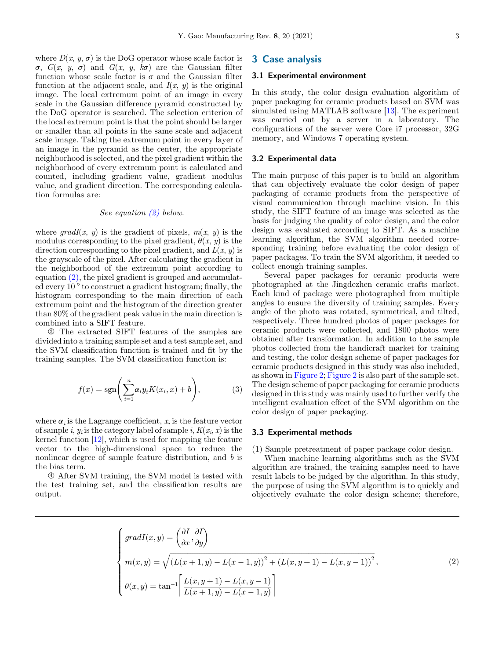where  $D(x, y, \sigma)$  is the DoG operator whose scale factor is  $\sigma$ ,  $G(x, y, \sigma)$  and  $G(x, y, k\sigma)$  are the Gaussian filter function whose scale factor is  $\sigma$  and the Gaussian filter function at the adjacent scale, and  $I(x, y)$  is the original image. The local extremum point of an image in every scale in the Gaussian difference pyramid constructed by the DoG operator is searched. The selection criterion of the local extremum point is that the point should be larger or smaller than all points in the same scale and adjacent scale image. Taking the extremum point in every layer of an image in the pyramid as the center, the appropriate neighborhood is selected, and the pixel gradient within the

neighborhood of every extremum point is calculated and counted, including gradient value, gradient modulus value, and gradient direction. The corresponding calculation formulas are:

#### See equation (2) below.

where  $\text{grad}I(x, y)$  is the gradient of pixels,  $m(x, y)$  is the modulus corresponding to the pixel gradient,  $\theta(x, y)$  is the direction corresponding to the pixel gradient, and  $L(x, y)$  is the grayscale of the pixel. After calculating the gradient in the neighborhood of the extremum point according to equation (2), the pixel gradient is grouped and accumulated every 10 ° to construct a gradient histogram; finally, the histogram corresponding to the main direction of each extremum point and the histogram of the direction greater than 80% of the gradient peak value in the main direction is combined into a SIFT feature.

○<sup>3</sup> The extracted SIFT features of the samples are divided into a training sample set and a test sample set, and the SVM classification function is trained and fit by the training samples. The SVM classification function is:

$$
f(x) = \text{sgn}\left(\sum_{i=1}^{n} \alpha_i y_i K(x_i, x) + b\right),\tag{3}
$$

where  $\alpha_i$  is the Lagrange coefficient,  $x_i$  is the feature vector of sample i,  $y_i$  is the category label of sample i,  $K(x_i, x)$  is the kernel function  $[12]$  $[12]$ , which is used for mapping the feature vector to the high-dimensional space to reduce the nonlinear degree of sample feature distribution, and b is the bias term.

○<sup>4</sup> After SVM training, the SVM model is tested with the test training set, and the classification results are output.

#### 3 Case analysis

#### 3.1 Experimental environment

In this study, the color design evaluation algorithm of paper packaging for ceramic products based on SVM was simulated using MATLAB software [\[13](#page-6-0)]. The experiment was carried out by a server in a laboratory. The configurations of the server were Core i7 processor, 32G memory, and Windows 7 operating system.

#### 3.2 Experimental data

The main purpose of this paper is to build an algorithm that can objectively evaluate the color design of paper packaging of ceramic products from the perspective of visual communication through machine vision. In this study, the SIFT feature of an image was selected as the basis for judging the quality of color design, and the color design was evaluated according to SIFT. As a machine learning algorithm, the SVM algorithm needed corresponding training before evaluating the color design of paper packages. To train the SVM algorithm, it needed to collect enough training samples.

Several paper packages for ceramic products were photographed at the Jingdezhen ceramic crafts market. Each kind of package were photographed from multiple angles to ensure the diversity of training samples. Every angle of the photo was rotated, symmetrical, and tilted, respectively. Three hundred photos of paper packages for ceramic products were collected, and 1800 photos were obtained after transformation. In addition to the sample photos collected from the handicraft market for training and testing, the color design scheme of paper packages for ceramic products designed in this study was also included, as shown in [Figure 2](#page-3-0); [Figure 2](#page-3-0) is also part of the sample set. The design scheme of paper packaging for ceramic products designed in this study was mainly used to further verify the intelligent evaluation effect of the SVM algorithm on the color design of paper packaging.

#### 3.3 Experimental methods

(1) Sample pretreatment of paper package color design.

When machine learning algorithms such as the SVM algorithm are trained, the training samples need to have result labels to be judged by the algorithm. In this study, the purpose of using the SVM algorithm is to quickly and objectively evaluate the color design scheme; therefore,

$$
\begin{cases}\n\operatorname{grad} I(x,y) = \left(\frac{\partial I}{\partial x}, \frac{\partial I}{\partial y}\right) \\
m(x,y) = \sqrt{\left(L(x+1,y) - L(x-1,y)\right)^2 + \left(L(x,y+1) - L(x,y-1)\right)^2}, \\
\theta(x,y) = \tan^{-1}\left[\frac{L(x,y+1) - L(x,y-1)}{L(x+1,y) - L(x-1,y)}\right]\n\end{cases}
$$
\n(2)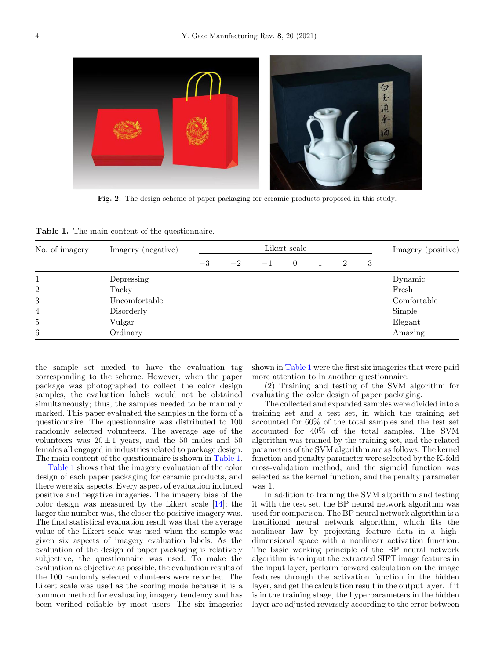<span id="page-3-0"></span>

Fig. 2. The design scheme of paper packaging for ceramic products proposed in this study.

Table 1. The main content of the questionnaire.

| No. of imagery | Imagery (negative) | Likert scale |      |                |  |                |   |  | Imagery (positive) |
|----------------|--------------------|--------------|------|----------------|--|----------------|---|--|--------------------|
|                | $-3$               | $-2$         | $-1$ | $\overline{0}$ |  | $\overline{2}$ | 3 |  |                    |
|                | Depressing         |              |      |                |  |                |   |  | Dynamic            |
| $\overline{2}$ | Tacky              |              |      |                |  |                |   |  | Fresh              |
| 3              | Uncomfortable      |              |      |                |  |                |   |  | Comfortable        |
| $\overline{4}$ | Disorderly         |              |      |                |  |                |   |  | Simple             |
| $\overline{5}$ | Vulgar             |              |      |                |  |                |   |  | Elegant            |
| 6              | Ordinary           |              |      |                |  |                |   |  | Amazing            |

the sample set needed to have the evaluation tag corresponding to the scheme. However, when the paper package was photographed to collect the color design samples, the evaluation labels would not be obtained simultaneously; thus, the samples needed to be manually marked. This paper evaluated the samples in the form of a questionnaire. The questionnaire was distributed to 100 randomly selected volunteers. The average age of the volunteers was  $20 \pm 1$  years, and the 50 males and 50 females all engaged in industries related to package design. The main content of the questionnaire is shown in Table 1.

Table 1 shows that the imagery evaluation of the color design of each paper packaging for ceramic products, and there were six aspects. Every aspect of evaluation included positive and negative imageries. The imagery bias of the color design was measured by the Likert scale [\[14](#page-6-0)]; the larger the number was, the closer the positive imagery was. The final statistical evaluation result was that the average value of the Likert scale was used when the sample was given six aspects of imagery evaluation labels. As the evaluation of the design of paper packaging is relatively subjective, the questionnaire was used. To make the evaluation as objective as possible, the evaluation results of the 100 randomly selected volunteers were recorded. The Likert scale was used as the scoring mode because it is a common method for evaluating imagery tendency and has been verified reliable by most users. The six imageries

shown in Table 1 were the first six imageries that were paid more attention to in another questionnaire.

(2) Training and testing of the SVM algorithm for evaluating the color design of paper packaging.

The collected and expanded samples were divided into a training set and a test set, in which the training set accounted for 60% of the total samples and the test set accounted for 40% of the total samples. The SVM algorithm was trained by the training set, and the related parameters of the SVM algorithm are as follows. The kernel function and penalty parameter were selected by the K-fold cross-validation method, and the sigmoid function was selected as the kernel function, and the penalty parameter was 1.

In addition to training the SVM algorithm and testing it with the test set, the BP neural network algorithm was used for comparison. The BP neural network algorithm is a traditional neural network algorithm, which fits the nonlinear law by projecting feature data in a highdimensional space with a nonlinear activation function. The basic working principle of the BP neural network algorithm is to input the extracted SIFT image features in the input layer, perform forward calculation on the image features through the activation function in the hidden layer, and get the calculation result in the output layer. If it is in the training stage, the hyperparameters in the hidden layer are adjusted reversely according to the error between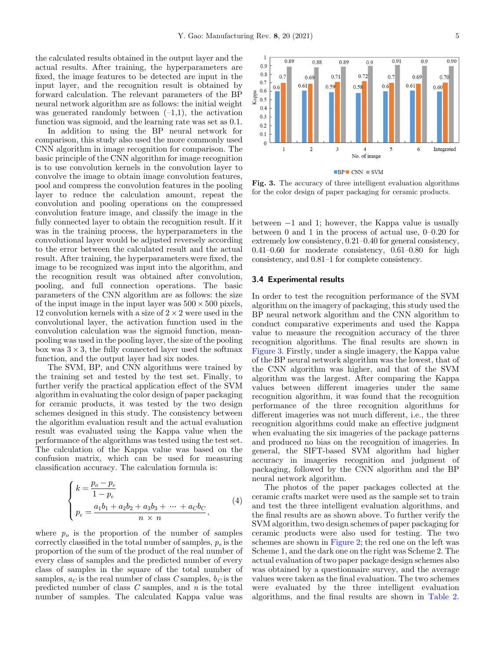the calculated results obtained in the output layer and the actual results. After training, the hyperparameters are fixed, the image features to be detected are input in the input layer, and the recognition result is obtained by forward calculation. The relevant parameters of the BP neural network algorithm are as follows: the initial weight was generated randomly between  $(-1,1)$ , the activation function was sigmoid, and the learning rate was set as 0.1.

In addition to using the BP neural network for comparison, this study also used the more commonly used CNN algorithm in image recognition for comparison. The basic principle of the CNN algorithm for image recognition is to use convolution kernels in the convolution layer to convolve the image to obtain image convolution features, pool and compress the convolution features in the pooling layer to reduce the calculation amount, repeat the convolution and pooling operations on the compressed convolution feature image, and classify the image in the fully connected layer to obtain the recognition result. If it was in the training process, the hyperparameters in the convolutional layer would be adjusted reversely according to the error between the calculated result and the actual result. After training, the hyperparameters were fixed, the image to be recognized was input into the algorithm, and the recognition result was obtained after convolution, pooling, and full connection operations. The basic parameters of the CNN algorithm are as follows: the size of the input image in the input layer was  $500 \times 500$  pixels, 12 convolution kernels with a size of  $2 \times 2$  were used in the convolutional layer, the activation function used in the convolution calculation was the sigmoid function, meanpooling was used in the pooling layer, the size of the pooling box was  $3 \times 3$ , the fully connected layer used the softmax function, and the output layer had six nodes.

The SVM, BP, and CNN algorithms were trained by the training set and tested by the test set. Finally, to further verify the practical application effect of the SVM algorithm in evaluating the color design of paper packaging for ceramic products, it was tested by the two design schemes designed in this study. The consistency between the algorithm evaluation result and the actual evaluation result was evaluated using the Kappa value when the performance of the algorithms was tested using the test set. The calculation of the Kappa value was based on the confusion matrix, which can be used for measuring classification accuracy. The calculation formula is:

$$
\begin{cases}\nk = \frac{p_o - p_e}{1 - p_e} \\
p_e = \frac{a_1 b_1 + a_2 b_2 + a_3 b_3 + \dots + a_C b_C}{n \times n},\n\end{cases} (4)
$$

where  $p<sub>o</sub>$  is the proportion of the number of samples correctly classified in the total number of samples,  $p_e$  is the proportion of the sum of the product of the real number of every class of samples and the predicted number of every class of samples in the square of the total number of samples,  $a_C$  is the real number of class C samples,  $b_C$  is the predicted number of class  $C$  samples, and  $n$  is the total number of samples. The calculated Kappa value was



Fig. 3. The accuracy of three intelligent evaluation algorithms for the color design of paper packaging for ceramic products.

between  $-1$  and 1; however, the Kappa value is usually between 0 and 1 in the process of actual use, 0–0.20 for extremely low consistency, 0.21–0.40 for general consistency,  $0.41-0.60$  for moderate consistency,  $0.61-0.80$  for high consistency, and 0.81–1 for complete consistency.

#### 3.4 Experimental results

In order to test the recognition performance of the SVM algorithm on the imagery of packaging, this study used the BP neural network algorithm and the CNN algorithm to conduct comparative experiments and used the Kappa value to measure the recognition accuracy of the three recognition algorithms. The final results are shown in Figure 3. Firstly, under a single imagery, the Kappa value of the BP neural network algorithm was the lowest, that of the CNN algorithm was higher, and that of the SVM algorithm was the largest. After comparing the Kappa values between different imageries under the same recognition algorithm, it was found that the recognition performance of the three recognition algorithms for different imageries was not much different, i.e., the three recognition algorithms could make an effective judgment when evaluating the six imageries of the package patterns and produced no bias on the recognition of imageries. In general, the SIFT-based SVM algorithm had higher accuracy in imageries recognition and judgment of packaging, followed by the CNN algorithm and the BP neural network algorithm.

The photos of the paper packages collected at the ceramic crafts market were used as the sample set to train and test the three intelligent evaluation algorithms, and the final results are as shown above. To further verify the SVM algorithm, two design schemes of paper packaging for ceramic products were also used for testing. The two schemes are shown in [Figure 2;](#page-3-0) the red one on the left was Scheme 1, and the dark one on the right was Scheme 2. The actual evaluation of two paper package design schemes also was obtained by a questionnaire survey, and the average values were taken as the final evaluation. The two schemes were evaluated by the three intelligent evaluation algorithms, and the final results are shown in [Table 2.](#page-5-0)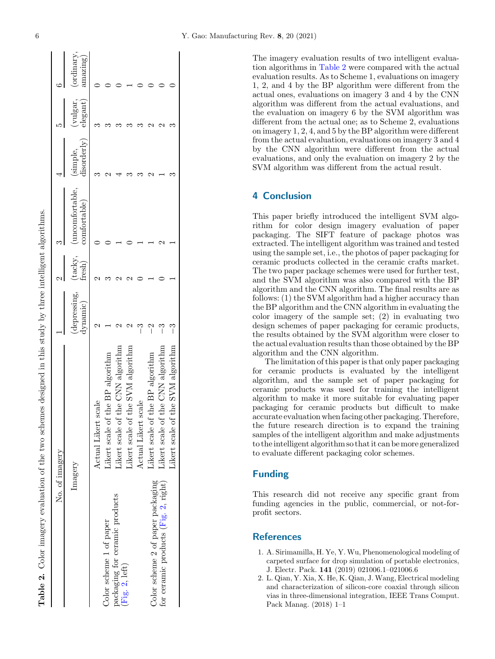<span id="page-5-0"></span>

| No. of imagery                       |                                        |                         |                 |                                |                        |                        |                      |
|--------------------------------------|----------------------------------------|-------------------------|-----------------|--------------------------------|------------------------|------------------------|----------------------|
| Imagery                              |                                        | depressing,<br>dynamic) | tacky,<br>resh) | uncomfortable.<br>comfortable) | tisorderly)<br>simple, | vulgar,<br>$\deg$ ant) | ordinary<br>amazing) |
|                                      | Actual Likert scale                    |                         |                 |                                |                        |                        |                      |
| Color scheme 1 of paper              | Likert scale of the BP algorithm       |                         |                 |                                |                        |                        |                      |
| packaging for ceramic products       | Likert scale of the CNN algorithm      |                         |                 |                                |                        |                        |                      |
| (Fig. 2, left)                       | Likert scale of the SVM algorithm      |                         |                 |                                |                        |                        |                      |
|                                      | Actual Likert scale                    |                         |                 |                                |                        |                        |                      |
| Color scheme 2 of paper packaging    | Likert scale of the BP algorithm       | $\mathbf{r}$            |                 |                                |                        |                        |                      |
| for ceramic products (Fig. 2, right) | Likert scale of the CNN algorithm      | Î                       |                 |                                |                        |                        |                      |
|                                      | the SVM algorithm<br>Likert scale of t |                         |                 |                                |                        |                        |                      |

The imagery evaluation results of two intelligent evaluation algorithms in Table 2 were compared with the actual evaluation results. As to Scheme 1, evaluations on imagery 1, 2, and 4 by the BP algorithm were different from the actual ones, evaluations on imagery 3 and 4 by the CNN algorithm was different from the actual evaluations, and the evaluation on imagery 6 by the SVM algorithm was different from the actual one; as to Scheme 2, evaluations on imagery 1, 2, 4, and 5 by the BP algorithm were different from the actual evaluation, evaluations on imagery 3 and 4 by the CNN algorithm were different from the actual evaluations, and only the evaluation on imagery 2 by the SVM algorithm was different from the actual result.

## 4 Conclusion

This paper briefly introduced the intelligent SVM algorithm for color design imagery evaluation of paper packaging. The SIFT feature of package photos was extracted. The intelligent algorithm was trained and tested using the sample set, i.e., the photos of paper packaging for ceramic products collected in the ceramic crafts market. The two paper package schemes were used for further test, and the SVM algorithm was also compared with the BP algorithm and the CNN algorithm. The final results are as follows: (1) the SVM algorithm had a higher accuracy than the BP algorithm and the CNN algorithm in evaluating the color imagery of the sample set; (2) in evaluating two design schemes of paper packaging for ceramic products, the results obtained by the SVM algorithm were closer to the actual evaluation results than those obtained by the BP algorithm and the CNN algorithm.

The limitation of this paper is that only paper packaging for ceramic products is evaluated by the intelligent algorithm, and the sample set of paper packaging for ceramic products was used for training the intelligent algorithm to make it more suitable for evaluating paper packaging for ceramic products but difficult to make accurate evaluation when facing other packaging. Therefore, the future research direction is to expand the training samples of the intelligent algorithm and make adjustments to the intelligent algorithm so that it can be more generalized to evaluate different packaging color schemes.

### Funding

This research did not receive any specific grant from funding agencies in the public, commercial, or not-forprofit sectors.

## **References**

- 1. A. Sirimamilla, H. Ye, Y. Wu, Phenomenological modeling of carpeted surface for drop simulation of portable electronics, J. Electr. Pack. 141 (2019) 021006.1–021006.6
- 2. L. Qian, Y. Xia, X. He, K. Qian, J. Wang, Electrical modeling and characterization of silicon-core coaxial through silicon vias in three-dimensional integration, IEEE Trans Comput. Pack Manag. (2018) 1–1